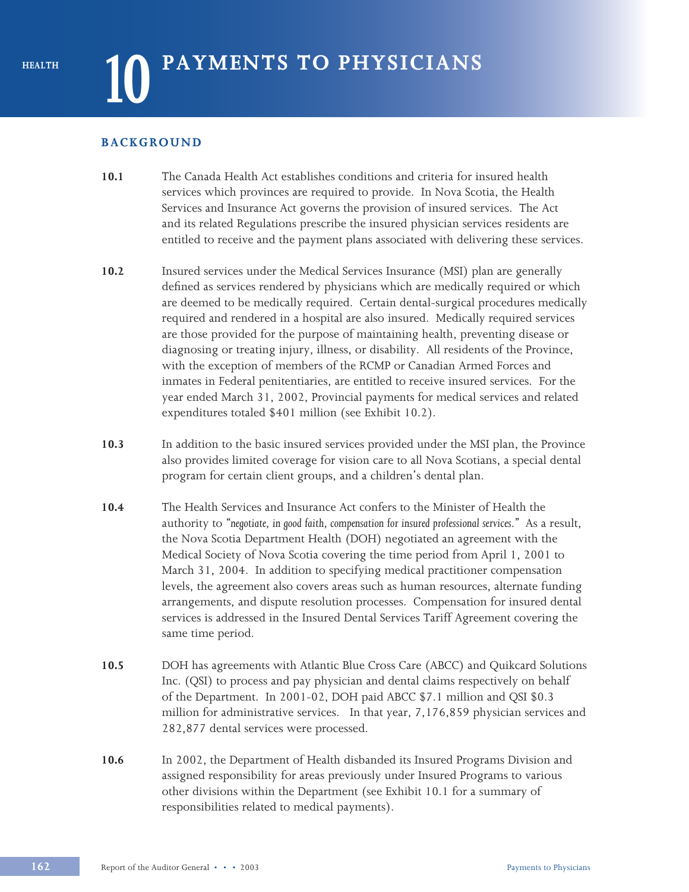#### **BACKGROUND**

- **10.1** The Canada Health Act establishes conditions and criteria for insured health services which provinces are required to provide. In Nova Scotia, the Health Services and Insurance Act governs the provision of insured services. The Act and its related Regulations prescribe the insured physician services residents are entitled to receive and the payment plans associated with delivering these services.
- **10.2** Insured services under the Medical Services Insurance (MSI) plan are generally defined as services rendered by physicians which are medically required or which are deemed to be medically required. Certain dental-surgical procedures medically required and rendered in a hospital are also insured. Medically required services are those provided for the purpose of maintaining health, preventing disease or diagnosing or treating injury, illness, or disability. All residents of the Province, with the exception of members of the RCMP or Canadian Armed Forces and inmates in Federal penitentiaries, are entitled to receive insured services. For the year ended March 31, 2002, Provincial payments for medical services and related expenditures totaled \$401 million (see Exhibit 10.2).
- **10.3** In addition to the basic insured services provided under the MSI plan, the Province also provides limited coverage for vision care to all Nova Scotians, a special dental program for certain client groups, and a children's dental plan.
- **10.4** The Health Services and Insurance Act confers to the Minister of Health the authority to *"negotiate, in good faith, compensation for insured professional services."* As a result, the Nova Scotia Department Health (DOH) negotiated an agreement with the Medical Society of Nova Scotia covering the time period from April 1, 2001 to March 31, 2004. In addition to specifying medical practitioner compensation levels, the agreement also covers areas such as human resources, alternate funding arrangements, and dispute resolution processes. Compensation for insured dental services is addressed in the Insured Dental Services Tariff Agreement covering the same time period.
- **10.5** DOH has agreements with Atlantic Blue Cross Care (ABCC) and Quikcard Solutions Inc. (QSI) to process and pay physician and dental claims respectively on behalf of the Department. In 2001-02, DOH paid ABCC \$7.1 million and QSI \$0.3 million for administrative services. In that year, 7,176,859 physician services and 282,877 dental services were processed.
- **10.6** In 2002, the Department of Health disbanded its Insured Programs Division and assigned responsibility for areas previously under Insured Programs to various other divisions within the Department (see Exhibit 10.1 for a summary of responsibilities related to medical payments).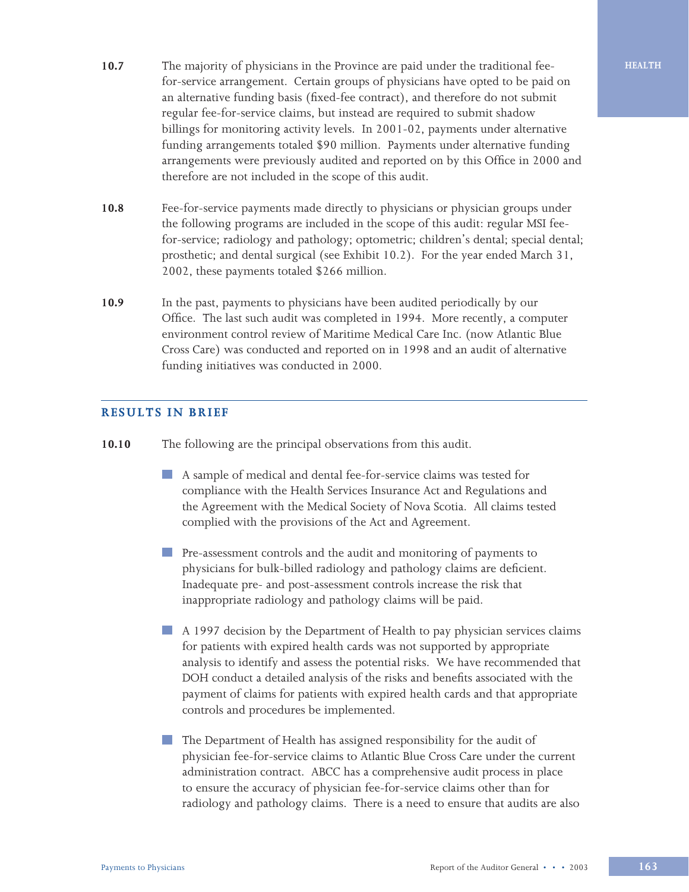- **10.7** The majority of physicians in the Province are paid under the traditional fee-<br> **HEALTH** for-service arrangement. Certain groups of physicians have opted to be paid on an alternative funding basis (fixed-fee contract), and therefore do not submit regular fee-for-service claims, but instead are required to submit shadow billings for monitoring activity levels. In 2001-02, payments under alternative funding arrangements totaled \$90 million. Payments under alternative funding arrangements were previously audited and reported on by this Office in 2000 and therefore are not included in the scope of this audit.
- **10.8** Fee-for-service payments made directly to physicians or physician groups under the following programs are included in the scope of this audit: regular MSI feefor-service; radiology and pathology; optometric; children's dental; special dental; prosthetic; and dental surgical (see Exhibit 10.2). For the year ended March 31, 2002, these payments totaled \$266 million.
- **10.9** In the past, payments to physicians have been audited periodically by our Office. The last such audit was completed in 1994. More recently, a computer environment control review of Maritime Medical Care Inc. (now Atlantic Blue Cross Care) was conducted and reported on in 1998 and an audit of alternative funding initiatives was conducted in 2000.

#### **RESULTS IN BRIEF**

- **10.10** The following are the principal observations from this audit.
	- A sample of medical and dental fee-for-service claims was tested for compliance with the Health Services Insurance Act and Regulations and the Agreement with the Medical Society of Nova Scotia. All claims tested complied with the provisions of the Act and Agreement.
	- **Pre-assessment controls and the audit and monitoring of payments to** physicians for bulk-billed radiology and pathology claims are deficient. Inadequate pre- and post-assessment controls increase the risk that inappropriate radiology and pathology claims will be paid.
	- A 1997 decision by the Department of Health to pay physician services claims for patients with expired health cards was not supported by appropriate analysis to identify and assess the potential risks. We have recommended that DOH conduct a detailed analysis of the risks and benefits associated with the payment of claims for patients with expired health cards and that appropriate controls and procedures be implemented.
	- The Department of Health has assigned responsibility for the audit of physician fee-for-service claims to Atlantic Blue Cross Care under the current administration contract. ABCC has a comprehensive audit process in place to ensure the accuracy of physician fee-for-service claims other than for radiology and pathology claims. There is a need to ensure that audits are also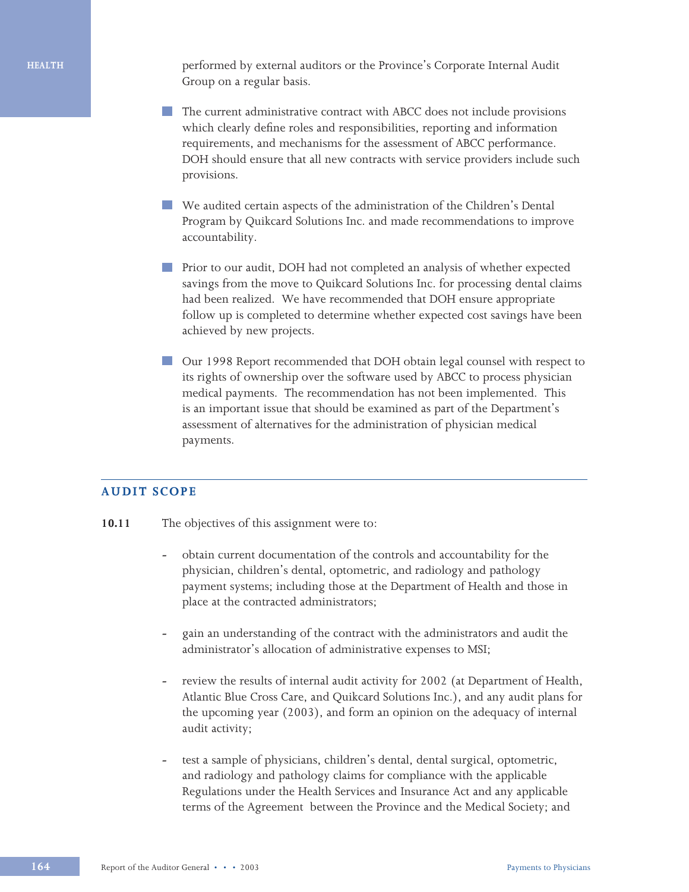performed by external auditors or the Province's Corporate Internal Audit Group on a regular basis.

- The current administrative contract with ABCC does not include provisions which clearly define roles and responsibilities, reporting and information requirements, and mechanisms for the assessment of ABCC performance. DOH should ensure that all new contracts with service providers include such provisions.
- We audited certain aspects of the administration of the Children's Dental Program by Quikcard Solutions Inc. and made recommendations to improve accountability.
- **Prior to our audit, DOH had not completed an analysis of whether expected** savings from the move to Quikcard Solutions Inc. for processing dental claims had been realized. We have recommended that DOH ensure appropriate follow up is completed to determine whether expected cost savings have been achieved by new projects.
- Our 1998 Report recommended that DOH obtain legal counsel with respect to its rights of ownership over the software used by ABCC to process physician medical payments. The recommendation has not been implemented. This is an important issue that should be examined as part of the Department's assessment of alternatives for the administration of physician medical payments.

#### **AUDIT SCOPE**

- 10.11 The objectives of this assignment were to:
	- **-** obtain current documentation of the controls and accountability for the physician, children's dental, optometric, and radiology and pathology payment systems; including those at the Department of Health and those in place at the contracted administrators;
	- **-** gain an understanding of the contract with the administrators and audit the administrator's allocation of administrative expenses to MSI;
	- **-** review the results of internal audit activity for 2002 (at Department of Health, Atlantic Blue Cross Care, and Quikcard Solutions Inc.), and any audit plans for the upcoming year (2003), and form an opinion on the adequacy of internal audit activity;
	- **-** test a sample of physicians, children's dental, dental surgical, optometric, and radiology and pathology claims for compliance with the applicable Regulations under the Health Services and Insurance Act and any applicable terms of the Agreement between the Province and the Medical Society; and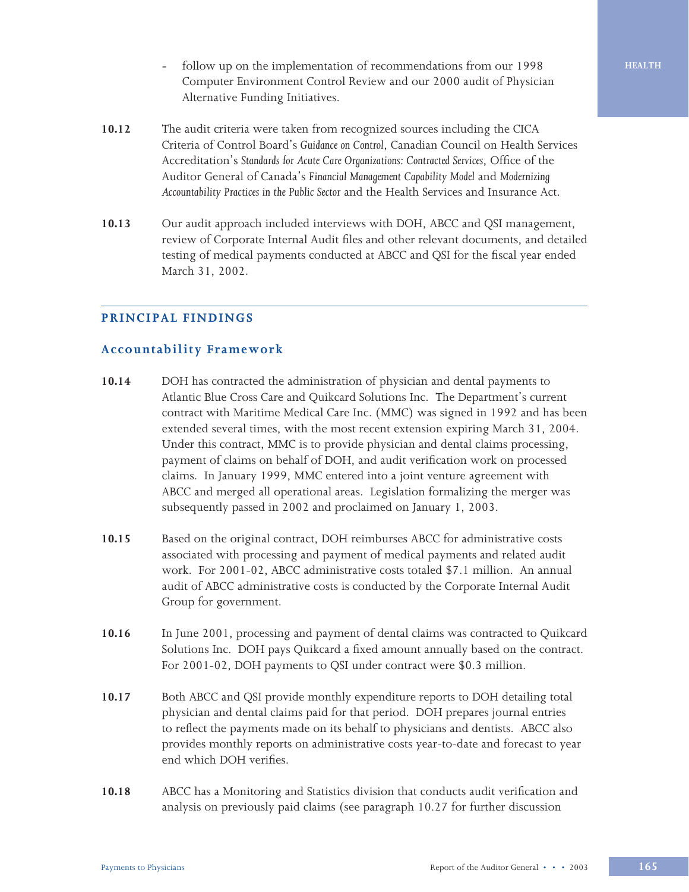- **-** follow up on the implementation of recommendations from our 1998 Computer Environment Control Review and our 2000 audit of Physician Alternative Funding Initiatives.
- **10.12** The audit criteria were taken from recognized sources including the CICA Criteria of Control Board's *Guidance on Control*, Canadian Council on Health Services Accreditation's *Standards for Acute Care Organizations: Contracted Services*, Office of the Auditor General of Canada's *Financial Management Capability Model* and *Modernizing Accountability Practices in the Public Sector* and the Health Services and Insurance Act.
- **10.13** Our audit approach included interviews with DOH, ABCC and QSI management, review of Corporate Internal Audit files and other relevant documents, and detailed testing of medical payments conducted at ABCC and QSI for the fiscal year ended March 31, 2002.

### **PRINCIPAL FINDINGS**

#### **Accountability Framework**

- **10.14** DOH has contracted the administration of physician and dental payments to Atlantic Blue Cross Care and Quikcard Solutions Inc. The Department's current contract with Maritime Medical Care Inc. (MMC) was signed in 1992 and has been extended several times, with the most recent extension expiring March 31, 2004. Under this contract, MMC is to provide physician and dental claims processing, payment of claims on behalf of DOH, and audit verification work on processed claims. In January 1999, MMC entered into a joint venture agreement with ABCC and merged all operational areas. Legislation formalizing the merger was subsequently passed in 2002 and proclaimed on January 1, 2003.
- **10.15** Based on the original contract, DOH reimburses ABCC for administrative costs associated with processing and payment of medical payments and related audit work. For 2001-02, ABCC administrative costs totaled \$7.1 million. An annual audit of ABCC administrative costs is conducted by the Corporate Internal Audit Group for government.
- **10.16** In June 2001, processing and payment of dental claims was contracted to Quikcard Solutions Inc. DOH pays Quikcard a fixed amount annually based on the contract. For 2001-02, DOH payments to QSI under contract were \$0.3 million.
- **10.17** Both ABCC and QSI provide monthly expenditure reports to DOH detailing total physician and dental claims paid for that period. DOH prepares journal entries to reflect the payments made on its behalf to physicians and dentists. ABCC also provides monthly reports on administrative costs year-to-date and forecast to year end which DOH verifies.
- **10.18** ABCC has a Monitoring and Statistics division that conducts audit verification and analysis on previously paid claims (see paragraph 10.27 for further discussion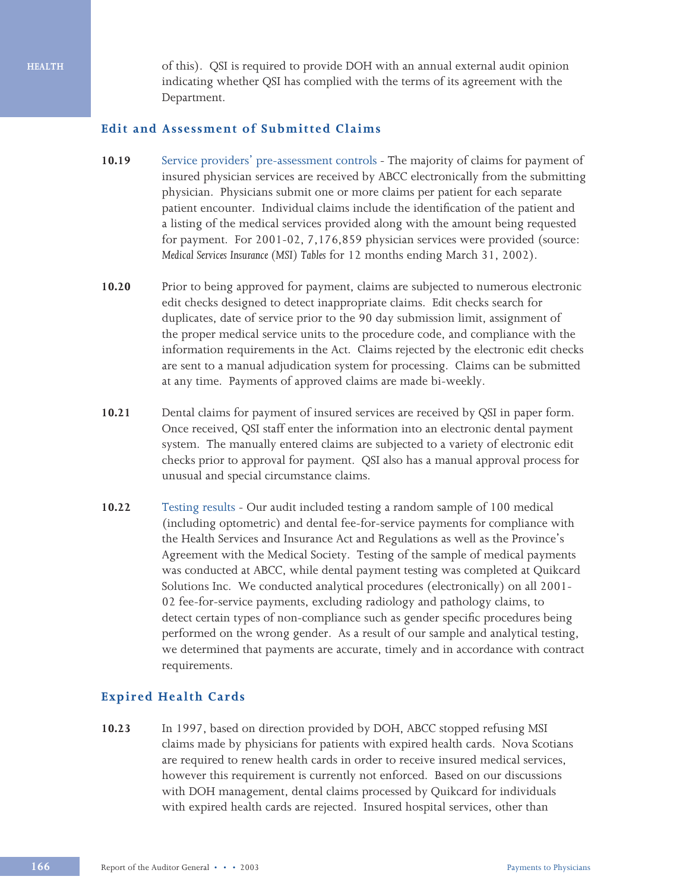of this). QSI is required to provide DOH with an annual external audit opinion indicating whether QSI has complied with the terms of its agreement with the Department.

#### **Edit and Assessment of Submitted Claims**

- **10.19** Service providers' pre-assessment controlsThe majority of claims for payment of insured physician services are received by ABCC electronically from the submitting physician. Physicians submit one or more claims per patient for each separate patient encounter. Individual claims include the identification of the patient and a listing of the medical services provided along with the amount being requested for payment. For 2001-02, 7,176,859 physician services were provided (source: *Medical Services Insurance (MSI) Tables* for 12 months ending March 31, 2002).
- **10.20** Prior to being approved for payment, claims are subjected to numerous electronic edit checks designed to detect inappropriate claims. Edit checks search for duplicates, date of service prior to the 90 day submission limit, assignment of the proper medical service units to the procedure code, and compliance with the information requirements in the Act. Claims rejected by the electronic edit checks are sent to a manual adjudication system for processing. Claims can be submitted at any time. Payments of approved claims are made bi-weekly.
- **10.21** Dental claims for payment of insured services are received by QSI in paper form. Once received, QSI staff enter the information into an electronic dental payment system. The manually entered claims are subjected to a variety of electronic edit checks prior to approval for payment. QSI also has a manual approval process for unusual and special circumstance claims.
- **10.22** Testing results Our audit included testing a random sample of 100 medical (including optometric) and dental fee-for-service payments for compliance with the Health Services and Insurance Act and Regulations as well as the Province's Agreement with the Medical Society. Testing of the sample of medical payments was conducted at ABCC, while dental payment testing was completed at Quikcard Solutions Inc. We conducted analytical procedures (electronically) on all 2001- 02 fee-for-service payments, excluding radiology and pathology claims, to detect certain types of non-compliance such as gender specific procedures being performed on the wrong gender. As a result of our sample and analytical testing, we determined that payments are accurate, timely and in accordance with contract requirements.

#### **Expired Health Cards**

**10.23** In 1997, based on direction provided by DOH, ABCC stopped refusing MSI claims made by physicians for patients with expired health cards. Nova Scotians are required to renew health cards in order to receive insured medical services, however this requirement is currently not enforced. Based on our discussions with DOH management, dental claims processed by Quikcard for individuals with expired health cards are rejected. Insured hospital services, other than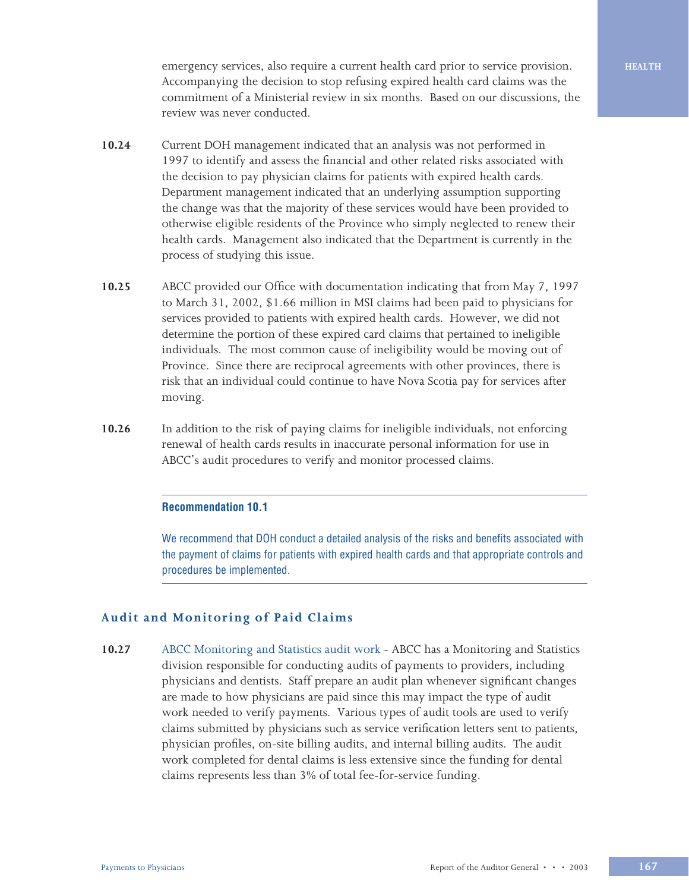emergency services, also require a current health card prior to service provision. Accompanying the decision to stop refusing expired health card claims was the commitment of a Ministerial review in six months. Based on our discussions, the review was never conducted.

- **10.24** Current DOH management indicated that an analysis was not performed in 1997 to identify and assess the financial and other related risks associated with the decision to pay physician claims for patients with expired health cards. Department management indicated that an underlying assumption supporting the change was that the majority of these services would have been provided to otherwise eligible residents of the Province who simply neglected to renew their health cards. Management also indicated that the Department is currently in the process of studying this issue.
- **10.25** ABCC provided our Office with documentation indicating that from May 7, 1997 to March 31, 2002, \$1.66 million in MSI claims had been paid to physicians for services provided to patients with expired health cards. However, we did not determine the portion of these expired card claims that pertained to ineligible individuals. The most common cause of ineligibility would be moving out of Province. Since there are reciprocal agreements with other provinces, there is risk that an individual could continue to have Nova Scotia pay for services after moving.
- **10.26** In addition to the risk of paying claims for ineligible individuals, not enforcing renewal of health cards results in inaccurate personal information for use in ABCC's audit procedures to verify and monitor processed claims.

#### **Recommendation 10.1**

We recommend that DOH conduct a detailed analysis of the risks and benefits associated with the payment of claims for patients with expired health cards and that appropriate controls and procedures be implemented.

#### **Audit and Monitoring of Paid Claims**

**10.27** ABCC Monitoring and Statistics audit work - ABCC has a Monitoring and Statistics division responsible for conducting audits of payments to providers, including physicians and dentists. Staff prepare an audit plan whenever significant changes are made to how physicians are paid since this may impact the type of audit work needed to verify payments. Various types of audit tools are used to verify claims submitted by physicians such as service verification letters sent to patients, physician profiles, on-site billing audits, and internal billing audits. The audit work completed for dental claims is less extensive since the funding for dental claims represents less than 3% of total fee-for-service funding.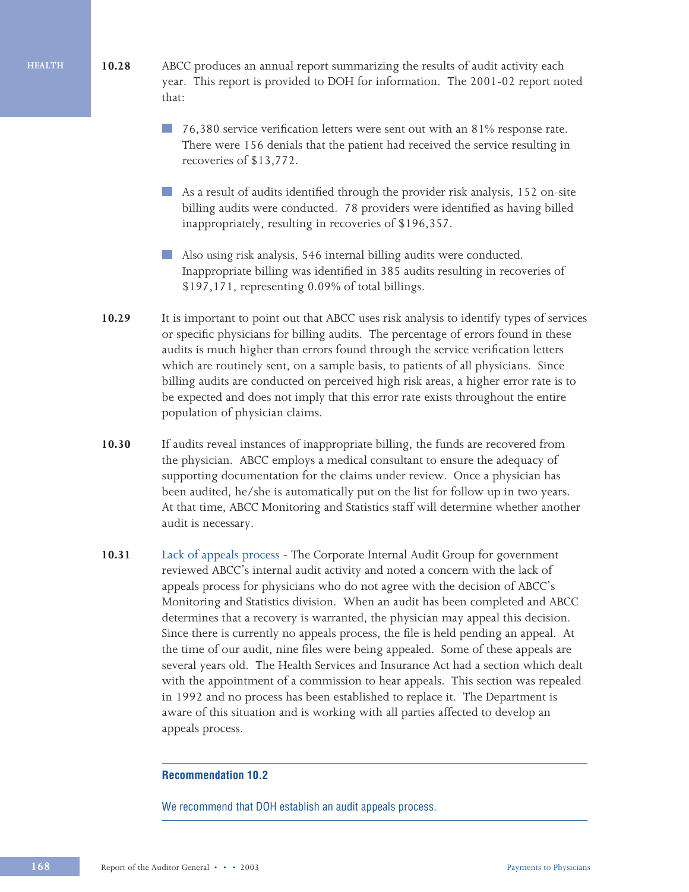- **10.28** ABCC produces an annual report summarizing the results of audit activity each year. This report is provided to DOH for information. The 2001-02 report noted that:
	- 76,380 service verification letters were sent out with an 81% response rate. There were 156 denials that the patient had received the service resulting in recoveries of \$13,772.
	- H. As a result of audits identified through the provider risk analysis, 152 on-site billing audits were conducted. 78 providers were identified as having billed inappropriately, resulting in recoveries of \$196,357.
	- Also using risk analysis, 546 internal billing audits were conducted. Inappropriate billing was identified in 385 audits resulting in recoveries of \$197,171, representing 0.09% of total billings.
	- **10.29** It is important to point out that ABCC uses risk analysis to identify types of services or specific physicians for billing audits. The percentage of errors found in these audits is much higher than errors found through the service verification letters which are routinely sent, on a sample basis, to patients of all physicians. Since billing audits are conducted on perceived high risk areas, a higher error rate is to be expected and does not imply that this error rate exists throughout the entire population of physician claims.
	- **10.30** If audits reveal instances of inappropriate billing, the funds are recovered from the physician. ABCC employs a medical consultant to ensure the adequacy of supporting documentation for the claims under review. Once a physician has been audited, he/she is automatically put on the list for follow up in two years. At that time, ABCC Monitoring and Statistics staff will determine whether another audit is necessary.
	- **10.31** Lack of appeals process The Corporate Internal Audit Group for government reviewed ABCC's internal audit activity and noted a concern with the lack of appeals process for physicians who do not agree with the decision of ABCC's Monitoring and Statistics division. When an audit has been completed and ABCC determines that a recovery is warranted, the physician may appeal this decision. Since there is currently no appeals process, the file is held pending an appeal. At the time of our audit, nine files were being appealed. Some of these appeals are several years old. The Health Services and Insurance Act had a section which dealt with the appointment of a commission to hear appeals. This section was repealed in 1992 and no process has been established to replace it. The Department is aware of this situation and is working with all parties affected to develop an appeals process.

#### **Recommendation 10.2**

We recommend that DOH establish an audit appeals process.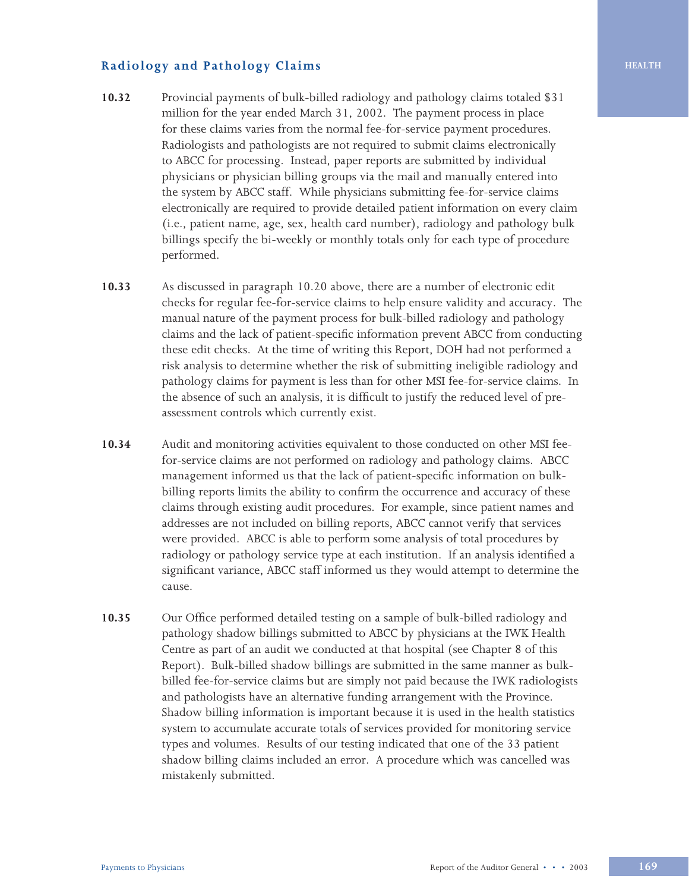## **Radiology and Pathology Claims**

- **10.32** Provincial payments of bulk-billed radiology and pathology claims totaled \$31 million for the year ended March 31, 2002. The payment process in place for these claims varies from the normal fee-for-service payment procedures. Radiologists and pathologists are not required to submit claims electronically to ABCC for processing. Instead, paper reports are submitted by individual physicians or physician billing groups via the mail and manually entered into the system by ABCC staff. While physicians submitting fee-for-service claims electronically are required to provide detailed patient information on every claim (i.e., patient name, age, sex, health card number), radiology and pathology bulk billings specify the bi-weekly or monthly totals only for each type of procedure performed.
- **10.33** As discussed in paragraph 10.20 above, there are a number of electronic edit checks for regular fee-for-service claims to help ensure validity and accuracy. The manual nature of the payment process for bulk-billed radiology and pathology claims and the lack of patient-specific information prevent ABCC from conducting these edit checks. At the time of writing this Report, DOH had not performed a risk analysis to determine whether the risk of submitting ineligible radiology and pathology claims for payment is less than for other MSI fee-for-service claims. In the absence of such an analysis, it is difficult to justify the reduced level of preassessment controls which currently exist.
- **10.34** Audit and monitoring activities equivalent to those conducted on other MSI feefor-service claims are not performed on radiology and pathology claims. ABCC management informed us that the lack of patient-specific information on bulkbilling reports limits the ability to confirm the occurrence and accuracy of these claims through existing audit procedures. For example, since patient names and addresses are not included on billing reports, ABCC cannot verify that services were provided. ABCC is able to perform some analysis of total procedures by radiology or pathology service type at each institution. If an analysis identified a significant variance, ABCC staff informed us they would attempt to determine the cause.
- **10.35** Our Office performed detailed testing on a sample of bulk-billed radiology and pathology shadow billings submitted to ABCC by physicians at the IWK Health Centre as part of an audit we conducted at that hospital (see Chapter 8 of this Report). Bulk-billed shadow billings are submitted in the same manner as bulkbilled fee-for-service claims but are simply not paid because the IWK radiologists and pathologists have an alternative funding arrangement with the Province. Shadow billing information is important because it is used in the health statistics system to accumulate accurate totals of services provided for monitoring service types and volumes. Results of our testing indicated that one of the 33 patient shadow billing claims included an error. A procedure which was cancelled was mistakenly submitted.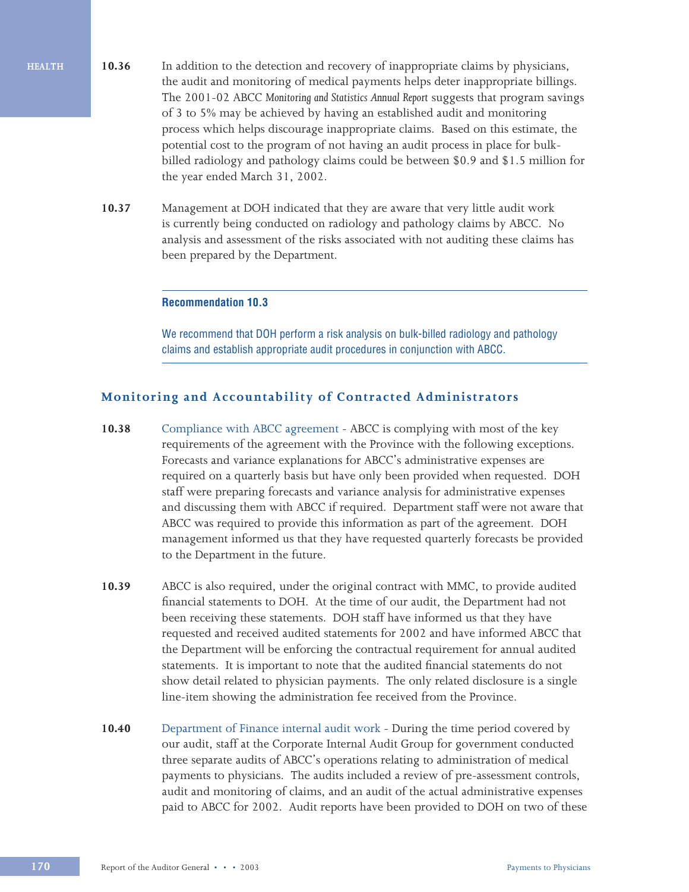- **10.36** In addition to the detection and recovery of inappropriate claims by physicians, the audit and monitoring of medical payments helps deter inappropriate billings. The 2001-02 ABCC *Monitoring and Statistics Annual Report* suggests that program savings of 3 to 5% may be achieved by having an established audit and monitoring process which helps discourage inappropriate claims. Based on this estimate, the potential cost to the program of not having an audit process in place for bulkbilled radiology and pathology claims could be between \$0.9 and \$1.5 million for the year ended March 31, 2002.
- **10.37** Management at DOH indicated that they are aware that very little audit work is currently being conducted on radiology and pathology claims by ABCC. No analysis and assessment of the risks associated with not auditing these claims has been prepared by the Department.

#### **Recommendation 10.3**

We recommend that DOH perform a risk analysis on bulk-billed radiology and pathology claims and establish appropriate audit procedures in conjunction with ABCC.

#### **Monitoring and Accountability of Contracted Administrators**

- **10.38** Compliance with ABCC agreement ABCC is complying with most of the key requirements of the agreement with the Province with the following exceptions. Forecasts and variance explanations for ABCC's administrative expenses are required on a quarterly basis but have only been provided when requested. DOH staff were preparing forecasts and variance analysis for administrative expenses and discussing them with ABCC if required. Department staff were not aware that ABCC was required to provide this information as part of the agreement. DOH management informed us that they have requested quarterly forecasts be provided to the Department in the future.
- **10.39** ABCC is also required, under the original contract with MMC, to provide audited financial statements to DOH. At the time of our audit, the Department had not been receiving these statements. DOH staff have informed us that they have requested and received audited statements for 2002 and have informed ABCC that the Department will be enforcing the contractual requirement for annual audited statements. It is important to note that the audited financial statements do not show detail related to physician payments. The only related disclosure is a single line-item showing the administration fee received from the Province.
- **10.40** Department of Finance internal audit work During the time period covered by our audit, staff at the Corporate Internal Audit Group for government conducted three separate audits of ABCC's operations relating to administration of medical payments to physicians. The audits included a review of pre-assessment controls, audit and monitoring of claims, and an audit of the actual administrative expenses paid to ABCC for 2002. Audit reports have been provided to DOH on two of these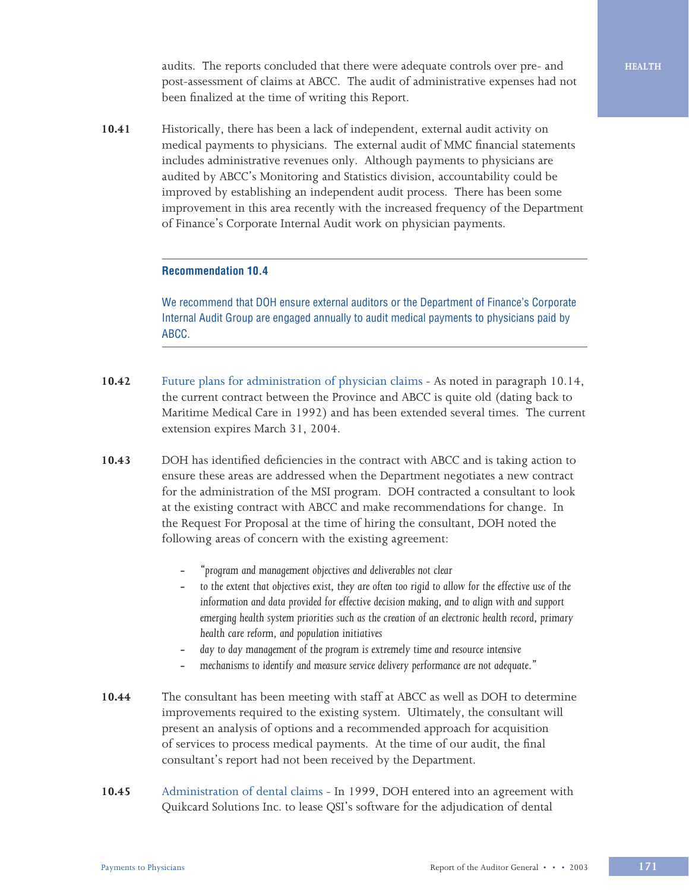audits. The reports concluded that there were adequate controls over pre- and post-assessment of claims at ABCC. The audit of administrative expenses had not been finalized at the time of writing this Report.

**10.41** Historically, there has been a lack of independent, external audit activity on medical payments to physicians. The external audit of MMC financial statements includes administrative revenues only. Although payments to physicians are audited by ABCC's Monitoring and Statistics division, accountability could be improved by establishing an independent audit process. There has been some improvement in this area recently with the increased frequency of the Department of Finance's Corporate Internal Audit work on physician payments.

#### **Recommendation 10.4**

We recommend that DOH ensure external auditors or the Department of Finance's Corporate Internal Audit Group are engaged annually to audit medical payments to physicians paid by ABCC.

- **10.42** Future plans for administration of physician claims As noted in paragraph 10.14, the current contract between the Province and ABCC is quite old (dating back to Maritime Medical Care in 1992) and has been extended several times. The current extension expires March 31, 2004.
- **10.43** DOH has identified deficiencies in the contract with ABCC and is taking action to ensure these areas are addressed when the Department negotiates a new contract for the administration of the MSI program. DOH contracted a consultant to look at the existing contract with ABCC and make recommendations for change. In the Request For Proposal at the time of hiring the consultant, DOH noted the following areas of concern with the existing agreement:
	- **-** *"program and management objectives and deliverables not clear*
	- **-** *to the extent that objectives exist, they are often too rigid to allow for the effective use of the information and data provided for effective decision making, and to align with and support emerging health system priorities such as the creation of an electronic health record, primary health care reform, and population initiatives*
	- **-** *day to day management of the program is extremely time and resource intensive*
	- **-** *mechanisms to identify and measure service delivery performance are not adequate."*
- **10.44** The consultant has been meeting with staff at ABCC as well as DOH to determine improvements required to the existing system. Ultimately, the consultant will present an analysis of options and a recommended approach for acquisition of services to process medical payments. At the time of our audit, the final consultant's report had not been received by the Department.
- **10.45** Administration of dental claims In 1999, DOH entered into an agreement with Quikcard Solutions Inc. to lease QSI's software for the adjudication of dental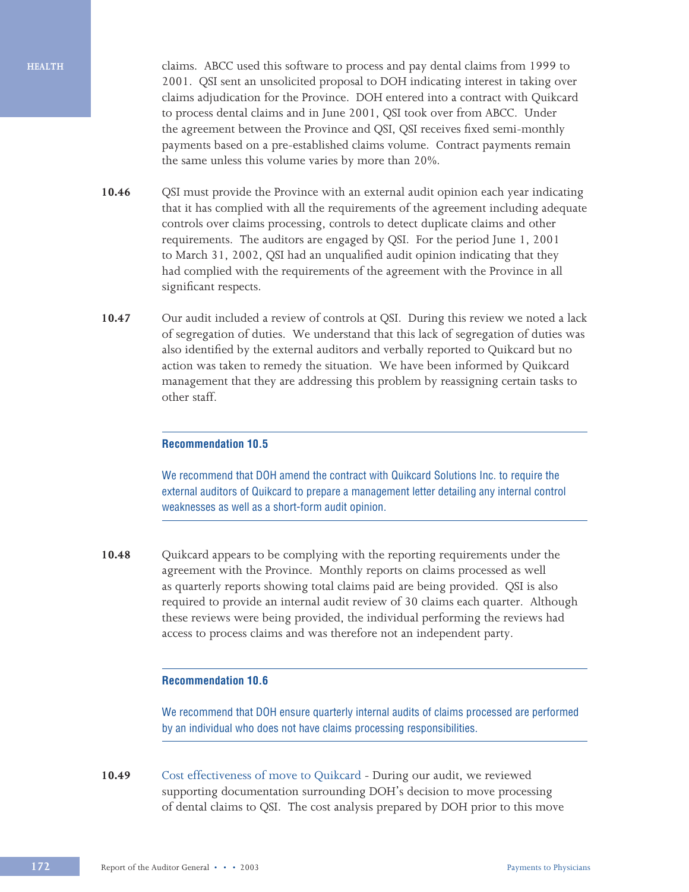**HEALTH**

claims. ABCC used this software to process and pay dental claims from 1999 to 2001. QSI sent an unsolicited proposal to DOH indicating interest in taking over claims adjudication for the Province. DOH entered into a contract with Quikcard to process dental claims and in June 2001, QSI took over from ABCC. Under the agreement between the Province and QSI, QSI receives fixed semi-monthly payments based on a pre-established claims volume. Contract payments remain the same unless this volume varies by more than 20%.

- **10.46** QSI must provide the Province with an external audit opinion each year indicating that it has complied with all the requirements of the agreement including adequate controls over claims processing, controls to detect duplicate claims and other requirements. The auditors are engaged by QSI. For the period June 1, 2001 to March 31, 2002, QSI had an unqualified audit opinion indicating that they had complied with the requirements of the agreement with the Province in all significant respects.
- **10.47** Our audit included a review of controls at QSI. During this review we noted a lack of segregation of duties. We understand that this lack of segregation of duties was also identified by the external auditors and verbally reported to Quikcard but no action was taken to remedy the situation. We have been informed by Quikcard management that they are addressing this problem by reassigning certain tasks to other staff.

#### **Recommendation 10.5**

We recommend that DOH amend the contract with Quikcard Solutions Inc. to require the external auditors of Quikcard to prepare a management letter detailing any internal control weaknesses as well as a short-form audit opinion.

**10.48** Quikcard appears to be complying with the reporting requirements under the agreement with the Province. Monthly reports on claims processed as well as quarterly reports showing total claims paid are being provided. QSI is also required to provide an internal audit review of 30 claims each quarter. Although these reviews were being provided, the individual performing the reviews had access to process claims and was therefore not an independent party.

#### **Recommendation 10.6**

We recommend that DOH ensure quarterly internal audits of claims processed are performed by an individual who does not have claims processing responsibilities.

**10.49** Cost effectiveness of move to Quikcard - During our audit, we reviewed supporting documentation surrounding DOH's decision to move processing of dental claims to QSI. The cost analysis prepared by DOH prior to this move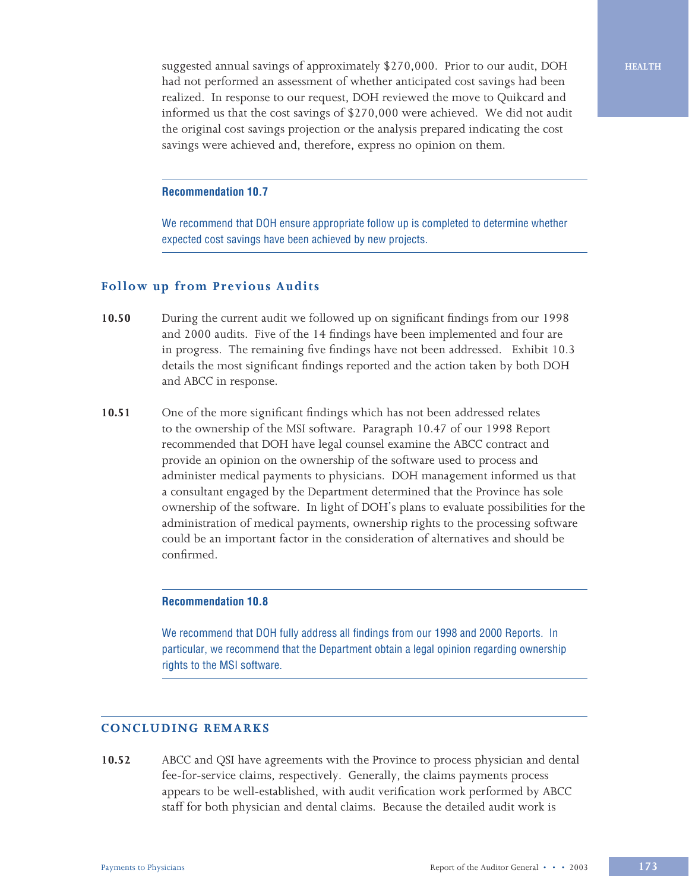suggested annual savings of approximately \$270,000. Prior to our audit, DOH had not performed an assessment of whether anticipated cost savings had been realized. In response to our request, DOH reviewed the move to Quikcard and informed us that the cost savings of \$270,000 were achieved. We did not audit the original cost savings projection or the analysis prepared indicating the cost savings were achieved and, therefore, express no opinion on them.

#### **Recommendation 10.7**

We recommend that DOH ensure appropriate follow up is completed to determine whether expected cost savings have been achieved by new projects.

#### **Follow up from Previous Audits**

- **10.50** During the current audit we followed up on significant findings from our 1998 and 2000 audits. Five of the 14 findings have been implemented and four are in progress. The remaining five findings have not been addressed. Exhibit 10.3 details the most significant findings reported and the action taken by both DOH and ABCC in response.
- **10.51** One of the more significant findings which has not been addressed relates to the ownership of the MSI software. Paragraph 10.47 of our 1998 Report recommended that DOH have legal counsel examine the ABCC contract and provide an opinion on the ownership of the software used to process and administer medical payments to physicians. DOH management informed us that a consultant engaged by the Department determined that the Province has sole ownership of the software. In light of DOH's plans to evaluate possibilities for the administration of medical payments, ownership rights to the processing software could be an important factor in the consideration of alternatives and should be confirmed.

#### **Recommendation 10.8**

We recommend that DOH fully address all findings from our 1998 and 2000 Reports. In particular, we recommend that the Department obtain a legal opinion regarding ownership rights to the MSI software.

#### **CONCLUDING REMARKS**

**10.52** ABCC and QSI have agreements with the Province to process physician and dental fee-for-service claims, respectively. Generally, the claims payments process appears to be well-established, with audit verification work performed by ABCC staff for both physician and dental claims. Because the detailed audit work is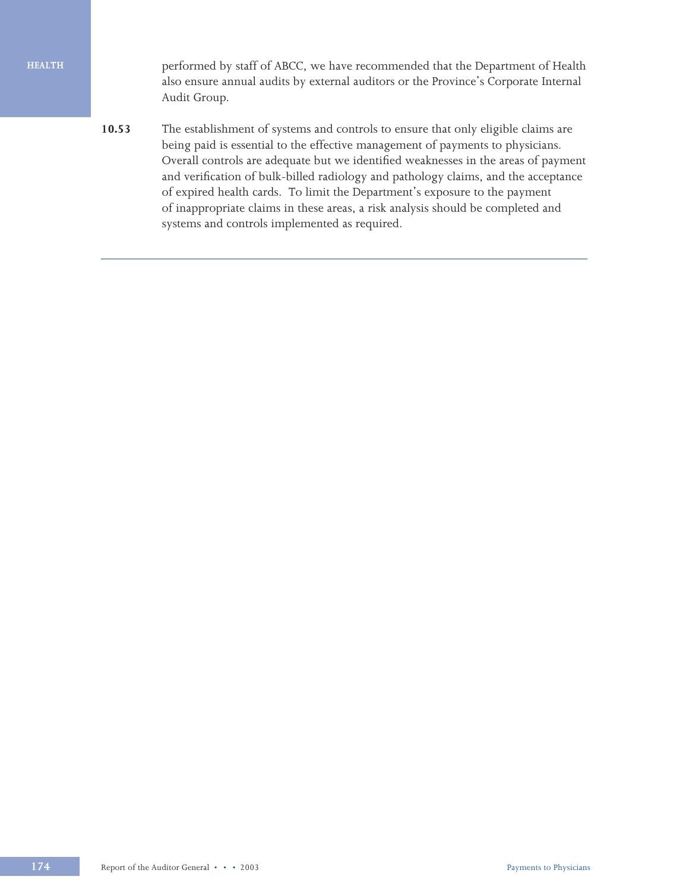#### **HEALTH**

performed by staff of ABCC, we have recommended that the Department of Health also ensure annual audits by external auditors or the Province's Corporate Internal Audit Group.

**10.53** The establishment of systems and controls to ensure that only eligible claims are being paid is essential to the effective management of payments to physicians. Overall controls are adequate but we identified weaknesses in the areas of payment and verification of bulk-billed radiology and pathology claims, and the acceptance of expired health cards. To limit the Department's exposure to the payment of inappropriate claims in these areas, a risk analysis should be completed and systems and controls implemented as required.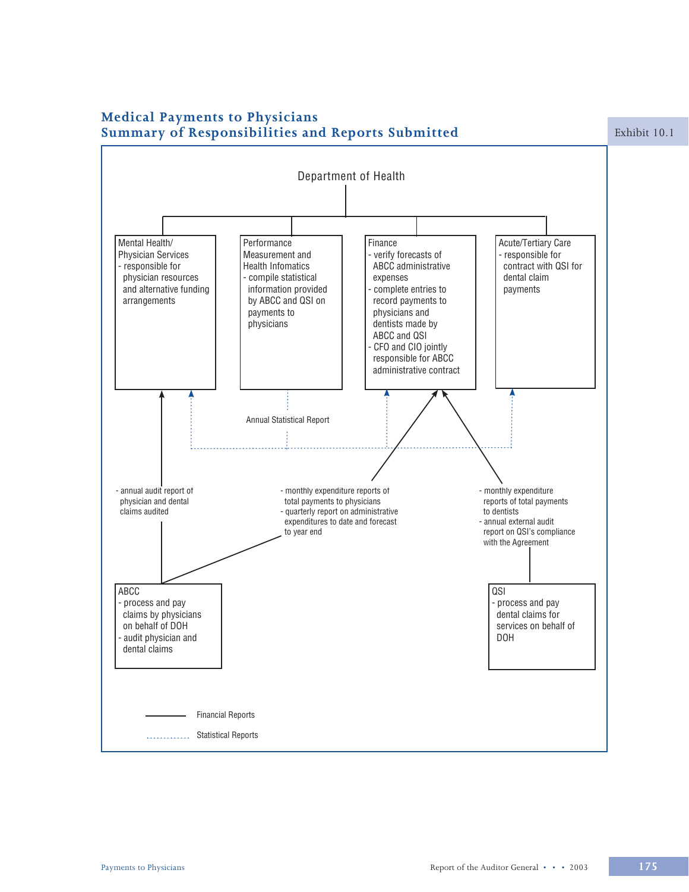

# **Medical Payments to Physicians**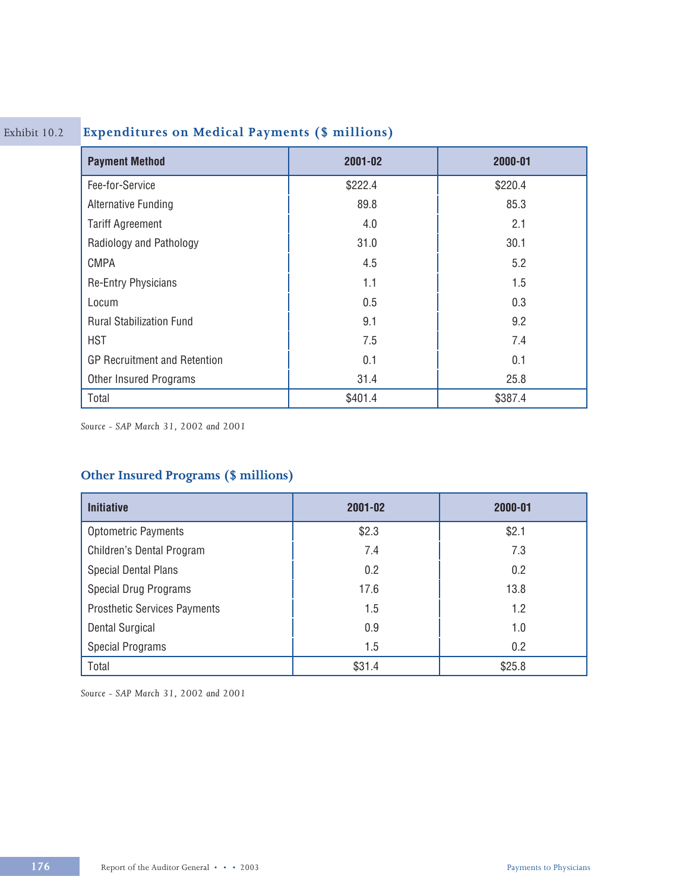# Exhibit 10.2 **Expenditures on Medical Payments (\$ millions)**

| <b>Payment Method</b>               | 2001-02 | 2000-01 |
|-------------------------------------|---------|---------|
| Fee-for-Service                     | \$222.4 | \$220.4 |
| <b>Alternative Funding</b>          | 89.8    | 85.3    |
| <b>Tariff Agreement</b>             | 4.0     | 2.1     |
| Radiology and Pathology             | 31.0    | 30.1    |
| <b>CMPA</b>                         | 4.5     | 5.2     |
| <b>Re-Entry Physicians</b>          | 1.1     | 1.5     |
| Locum                               | 0.5     | 0.3     |
| <b>Rural Stabilization Fund</b>     | 9.1     | 9.2     |
| <b>HST</b>                          | 7.5     | 7.4     |
| <b>GP Recruitment and Retention</b> | 0.1     | 0.1     |
| Other Insured Programs              | 31.4    | 25.8    |
| Total                               | \$401.4 | \$387.4 |

*Source - SAP March 31, 2002 and 2001*

## **Other Insured Programs (\$ millions)**

| <b>Initiative</b>                   | 2001-02 | 2000-01 |
|-------------------------------------|---------|---------|
| <b>Optometric Payments</b>          | \$2.3   | \$2.1   |
| Children's Dental Program           | 7.4     | 7.3     |
| <b>Special Dental Plans</b>         | 0.2     | 0.2     |
| <b>Special Drug Programs</b>        | 17.6    | 13.8    |
| <b>Prosthetic Services Payments</b> | 1.5     | 1.2     |
| <b>Dental Surgical</b>              | 0.9     | 1.0     |
| <b>Special Programs</b>             | 1.5     | 0.2     |
| Total                               | \$31.4  | \$25.8  |

*Source - SAP March 31, 2002 and 2001*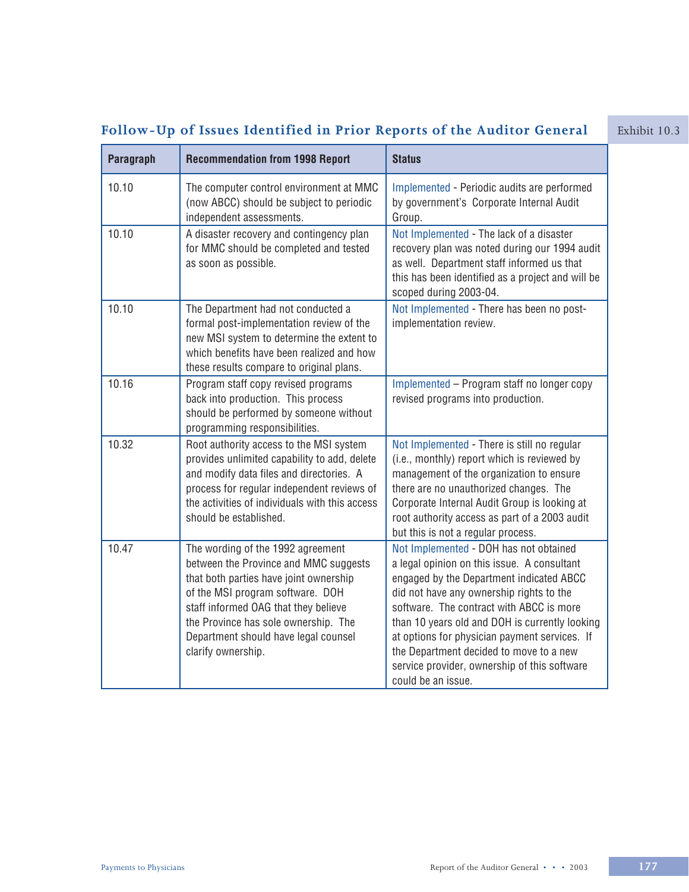# **Follow-Up of Issues Identified in Prior Reports of the Auditor General** Exhibit 10.3

| Paragraph | <b>Recommendation from 1998 Report</b>                                                                                                                                                                                                                                                                 | <b>Status</b>                                                                                                                                                                                                                                                                                                                                                                                                                                 |
|-----------|--------------------------------------------------------------------------------------------------------------------------------------------------------------------------------------------------------------------------------------------------------------------------------------------------------|-----------------------------------------------------------------------------------------------------------------------------------------------------------------------------------------------------------------------------------------------------------------------------------------------------------------------------------------------------------------------------------------------------------------------------------------------|
| 10.10     | The computer control environment at MMC<br>(now ABCC) should be subject to periodic<br>independent assessments.                                                                                                                                                                                        | Implemented - Periodic audits are performed<br>by government's Corporate Internal Audit<br>Group.                                                                                                                                                                                                                                                                                                                                             |
| 10.10     | A disaster recovery and contingency plan<br>for MMC should be completed and tested<br>as soon as possible.                                                                                                                                                                                             | Not Implemented - The lack of a disaster<br>recovery plan was noted during our 1994 audit<br>as well. Department staff informed us that<br>this has been identified as a project and will be<br>scoped during 2003-04.                                                                                                                                                                                                                        |
| 10.10     | The Department had not conducted a<br>formal post-implementation review of the<br>new MSI system to determine the extent to<br>which benefits have been realized and how<br>these results compare to original plans.                                                                                   | Not Implemented - There has been no post-<br>implementation review.                                                                                                                                                                                                                                                                                                                                                                           |
| 10.16     | Program staff copy revised programs<br>back into production. This process<br>should be performed by someone without<br>programming responsibilities.                                                                                                                                                   | Implemented - Program staff no longer copy<br>revised programs into production.                                                                                                                                                                                                                                                                                                                                                               |
| 10.32     | Root authority access to the MSI system<br>provides unlimited capability to add, delete<br>and modify data files and directories. A<br>process for regular independent reviews of<br>the activities of individuals with this access<br>should be established.                                          | Not Implemented - There is still no regular<br>(i.e., monthly) report which is reviewed by<br>management of the organization to ensure<br>there are no unauthorized changes. The<br>Corporate Internal Audit Group is looking at<br>root authority access as part of a 2003 audit<br>but this is not a regular process.                                                                                                                       |
| 10.47     | The wording of the 1992 agreement<br>between the Province and MMC suggests<br>that both parties have joint ownership<br>of the MSI program software. DOH<br>staff informed OAG that they believe<br>the Province has sole ownership. The<br>Department should have legal counsel<br>clarify ownership. | Not Implemented - DOH has not obtained<br>a legal opinion on this issue. A consultant<br>engaged by the Department indicated ABCC<br>did not have any ownership rights to the<br>software. The contract with ABCC is more<br>than 10 years old and DOH is currently looking<br>at options for physician payment services. If<br>the Department decided to move to a new<br>service provider, ownership of this software<br>could be an issue. |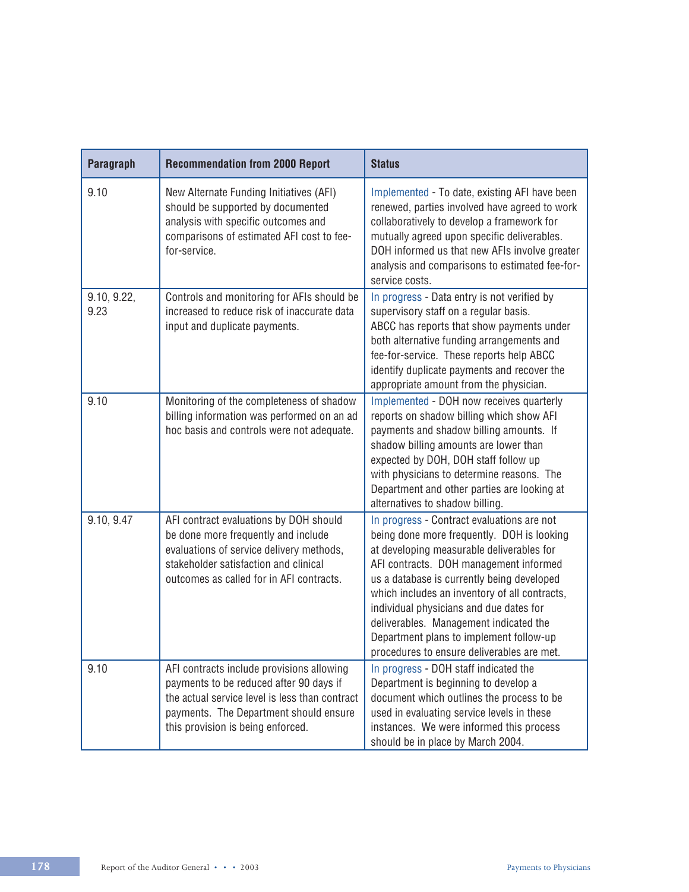| Paragraph           | <b>Recommendation from 2000 Report</b>                                                                                                                                                                                | <b>Status</b>                                                                                                                                                                                                                                                                                                                                                                                                                                                |
|---------------------|-----------------------------------------------------------------------------------------------------------------------------------------------------------------------------------------------------------------------|--------------------------------------------------------------------------------------------------------------------------------------------------------------------------------------------------------------------------------------------------------------------------------------------------------------------------------------------------------------------------------------------------------------------------------------------------------------|
| 9.10                | New Alternate Funding Initiatives (AFI)<br>should be supported by documented<br>analysis with specific outcomes and<br>comparisons of estimated AFI cost to fee-<br>for-service.                                      | Implemented - To date, existing AFI have been<br>renewed, parties involved have agreed to work<br>collaboratively to develop a framework for<br>mutually agreed upon specific deliverables.<br>DOH informed us that new AFIs involve greater<br>analysis and comparisons to estimated fee-for-<br>service costs.                                                                                                                                             |
| 9.10, 9.22,<br>9.23 | Controls and monitoring for AFIs should be<br>increased to reduce risk of inaccurate data<br>input and duplicate payments.                                                                                            | In progress - Data entry is not verified by<br>supervisory staff on a regular basis.<br>ABCC has reports that show payments under<br>both alternative funding arrangements and<br>fee-for-service. These reports help ABCC<br>identify duplicate payments and recover the<br>appropriate amount from the physician.                                                                                                                                          |
| 9.10                | Monitoring of the completeness of shadow<br>billing information was performed on an ad<br>hoc basis and controls were not adequate.                                                                                   | Implemented - DOH now receives quarterly<br>reports on shadow billing which show AFI<br>payments and shadow billing amounts. If<br>shadow billing amounts are lower than<br>expected by DOH, DOH staff follow up<br>with physicians to determine reasons. The<br>Department and other parties are looking at<br>alternatives to shadow billing.                                                                                                              |
| 9.10, 9.47          | AFI contract evaluations by DOH should<br>be done more frequently and include<br>evaluations of service delivery methods,<br>stakeholder satisfaction and clinical<br>outcomes as called for in AFI contracts.        | In progress - Contract evaluations are not<br>being done more frequently. DOH is looking<br>at developing measurable deliverables for<br>AFI contracts. DOH management informed<br>us a database is currently being developed<br>which includes an inventory of all contracts,<br>individual physicians and due dates for<br>deliverables. Management indicated the<br>Department plans to implement follow-up<br>procedures to ensure deliverables are met. |
| 9.10                | AFI contracts include provisions allowing<br>payments to be reduced after 90 days if<br>the actual service level is less than contract<br>payments. The Department should ensure<br>this provision is being enforced. | In progress - DOH staff indicated the<br>Department is beginning to develop a<br>document which outlines the process to be<br>used in evaluating service levels in these<br>instances. We were informed this process<br>should be in place by March 2004.                                                                                                                                                                                                    |